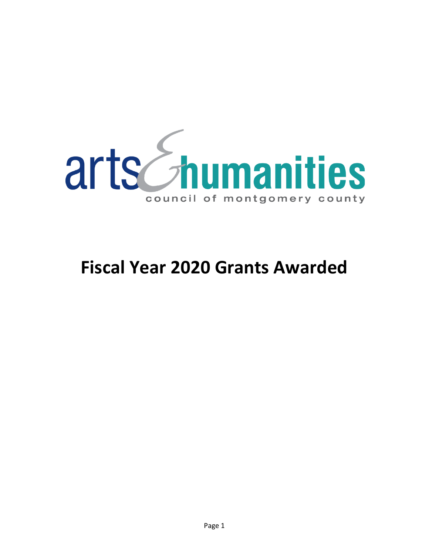

# **Fiscal Year 2020 Grants Awarded**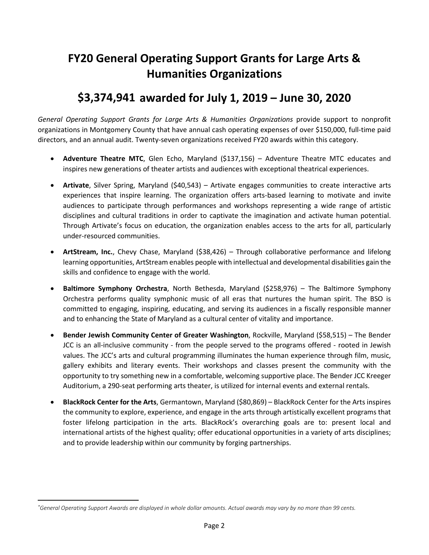## **FY20 General Operating Support Grants for Large Arts & Humanities Organizations**

## **\$3,374,941[\\*](#page-1-0) awarded for July 1, 2019 – June 30, 2020**

*General Operating Support Grants for Large Arts & Humanities Organizations* provide support to nonprofit organizations in Montgomery County that have annual cash operating expenses of over \$150,000, full-time paid directors, and an annual audit. Twenty-seven organizations received FY20 awards within this category.

- **Adventure Theatre MTC**, Glen Echo, Maryland (\$137,156) Adventure Theatre MTC educates and inspires new generations of theater artists and audiences with exceptional theatrical experiences.
- **Artivate**, Silver Spring, Maryland (\$40,543) Artivate engages communities to create interactive arts experiences that inspire learning. The organization offers arts-based learning to motivate and invite audiences to participate through performances and workshops representing a wide range of artistic disciplines and cultural traditions in order to captivate the imagination and activate human potential. Through Artivate's focus on education, the organization enables access to the arts for all, particularly under-resourced communities.
- **ArtStream, Inc.**, Chevy Chase, Maryland (\$38,426) Through collaborative performance and lifelong learning opportunities, ArtStream enables people with intellectual and developmental disabilities gain the skills and confidence to engage with the world.
- **Baltimore Symphony Orchestra**, North Bethesda, Maryland (\$258,976) The Baltimore Symphony Orchestra performs quality symphonic music of all eras that nurtures the human spirit. The BSO is committed to engaging, inspiring, educating, and serving its audiences in a fiscally responsible manner and to enhancing the State of Maryland as a cultural center of vitality and importance.
- **Bender Jewish Community Center of Greater Washington**, Rockville, Maryland (\$58,515) The Bender JCC is an all-inclusive community - from the people served to the programs offered - rooted in Jewish values. The JCC's arts and cultural programming illuminates the human experience through film, music, gallery exhibits and literary events. Their workshops and classes present the community with the opportunity to try something new in a comfortable, welcoming supportive place. The Bender JCC Kreeger Auditorium, a 290-seat performing arts theater, is utilized for internal events and external rentals.
- **BlackRock Center for the Arts**, Germantown, Maryland (\$80,869) BlackRock Center for the Arts inspires the community to explore, experience, and engage in the arts through artistically excellent programs that foster lifelong participation in the arts. BlackRock's overarching goals are to: present local and international artists of the highest quality; offer educational opportunities in a variety of arts disciplines; and to provide leadership within our community by forging partnerships.

 $\overline{\phantom{a}}$ 

<span id="page-1-0"></span>*<sup>\*</sup>General Operating Support Awards are displayed in whole dollar amounts. Actual awards may vary by no more than 99 cents.*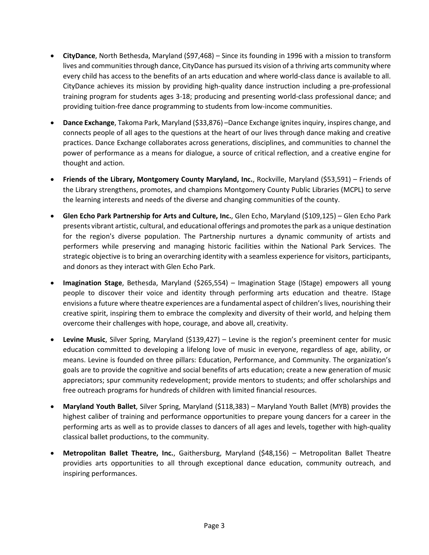- **CityDance**, North Bethesda, Maryland (\$97,468) Since its founding in 1996 with a mission to transform lives and communities through dance, CityDance has pursued its vision of a thriving arts community where every child has access to the benefits of an arts education and where world-class dance is available to all. CityDance achieves its mission by providing high-quality dance instruction including a pre-professional training program for students ages 3-18; producing and presenting world-class professional dance; and providing tuition-free dance programming to students from low-income communities.
- **Dance Exchange**, Takoma Park, Maryland (\$33,876) –Dance Exchange ignitesinquiry, inspires change, and connects people of all ages to the questions at the heart of our lives through dance making and creative practices. Dance Exchange collaborates across generations, disciplines, and communities to channel the power of performance as a means for dialogue, a source of critical reflection, and a creative engine for thought and action.
- **Friends of the Library, Montgomery County Maryland, Inc.**, Rockville, Maryland (\$53,591) Friends of the Library strengthens, promotes, and champions Montgomery County Public Libraries (MCPL) to serve the learning interests and needs of the diverse and changing communities of the county.
- **Glen Echo Park Partnership for Arts and Culture, Inc.**, Glen Echo, Maryland (\$109,125) Glen Echo Park presents vibrant artistic, cultural, and educational offerings and promotesthe park as a unique destination for the region's diverse population. The Partnership nurtures a dynamic community of artists and performers while preserving and managing historic facilities within the National Park Services. The strategic objective is to bring an overarching identity with a seamless experience for visitors, participants, and donors as they interact with Glen Echo Park.
- **Imagination Stage**, Bethesda, Maryland (\$265,554) Imagination Stage (IStage) empowers all young people to discover their voice and identity through performing arts education and theatre. IStage envisions a future where theatre experiences are a fundamental aspect of children's lives, nourishing their creative spirit, inspiring them to embrace the complexity and diversity of their world, and helping them overcome their challenges with hope, courage, and above all, creativity.
- **Levine Music**, Silver Spring, Maryland (\$139,427) Levine is the region's preeminent center for music education committed to developing a lifelong love of music in everyone, regardless of age, ability, or means. Levine is founded on three pillars: Education, Performance, and Community. The organization's goals are to provide the cognitive and social benefits of arts education; create a new generation of music appreciators; spur community redevelopment; provide mentors to students; and offer scholarships and free outreach programs for hundreds of children with limited financial resources.
- **Maryland Youth Ballet**, Silver Spring, Maryland (\$118,383) Maryland Youth Ballet (MYB) provides the highest caliber of training and performance opportunities to prepare young dancers for a career in the performing arts as well as to provide classes to dancers of all ages and levels, together with high-quality classical ballet productions, to the community.
- **Metropolitan Ballet Theatre, Inc.**, Gaithersburg, Maryland (\$48,156) Metropolitan Ballet Theatre providies arts opportunities to all through exceptional dance education, community outreach, and inspiring performances.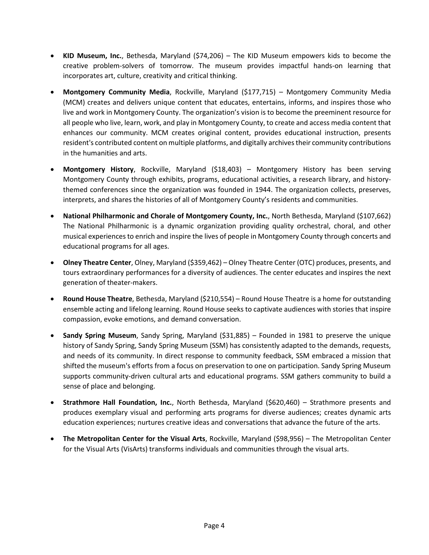- **KID Museum, Inc.**, Bethesda, Maryland (\$74,206) The KID Museum empowers kids to become the creative problem-solvers of tomorrow. The museum provides impactful hands-on learning that incorporates art, culture, creativity and critical thinking.
- **Montgomery Community Media**, Rockville, Maryland (\$177,715) Montgomery Community Media (MCM) creates and delivers unique content that educates, entertains, informs, and inspires those who live and work in Montgomery County. The organization's vision is to become the preeminent resource for all people who live, learn, work, and play in Montgomery County, to create and access media content that enhances our community. MCM creates original content, provides educational instruction, presents resident's contributed content on multiple platforms, and digitally archivestheir community contributions in the humanities and arts.
- **Montgomery History**, Rockville, Maryland (\$18,403) Montgomery History has been serving Montgomery County through exhibits, programs, educational activities, a research library, and historythemed conferences since the organization was founded in 1944. The organization collects, preserves, interprets, and shares the histories of all of Montgomery County's residents and communities.
- **National Philharmonic and Chorale of Montgomery County, Inc.**, North Bethesda, Maryland (\$107,662) The National Philharmonic is a dynamic organization providing quality orchestral, choral, and other musical experiences to enrich and inspire the lives of people in Montgomery County through concerts and educational programs for all ages.
- **Olney Theatre Center**, Olney, Maryland (\$359,462) Olney Theatre Center (OTC) produces, presents, and tours extraordinary performances for a diversity of audiences. The center educates and inspires the next generation of theater-makers.
- **Round House Theatre**, Bethesda, Maryland (\$210,554) Round House Theatre is a home for outstanding ensemble acting and lifelong learning. Round House seeks to captivate audiences with stories that inspire compassion, evoke emotions, and demand conversation.
- **Sandy Spring Museum**, Sandy Spring, Maryland (\$31,885) Founded in 1981 to preserve the unique history of Sandy Spring, Sandy Spring Museum (SSM) has consistently adapted to the demands, requests, and needs of its community. In direct response to community feedback, SSM embraced a mission that shifted the museum's efforts from a focus on preservation to one on participation. Sandy Spring Museum supports community-driven cultural arts and educational programs. SSM gathers community to build a sense of place and belonging.
- **Strathmore Hall Foundation, Inc.**, North Bethesda, Maryland (\$620,460) Strathmore presents and produces exemplary visual and performing arts programs for diverse audiences; creates dynamic arts education experiences; nurtures creative ideas and conversations that advance the future of the arts.
- **The Metropolitan Center for the Visual Arts**, Rockville, Maryland (\$98,956) The Metropolitan Center for the Visual Arts (VisArts) transforms individuals and communities through the visual arts.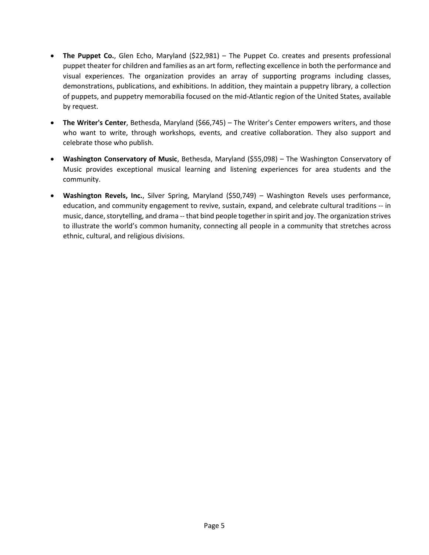- **The Puppet Co.**, Glen Echo, Maryland (\$22,981) The Puppet Co. creates and presents professional puppet theater for children and families as an art form, reflecting excellence in both the performance and visual experiences. The organization provides an array of supporting programs including classes, demonstrations, publications, and exhibitions. In addition, they maintain a puppetry library, a collection of puppets, and puppetry memorabilia focused on the mid-Atlantic region of the United States, available by request.
- **The Writer's Center**, Bethesda, Maryland (\$66,745) The Writer's Center empowers writers, and those who want to write, through workshops, events, and creative collaboration. They also support and celebrate those who publish.
- **Washington Conservatory of Music**, Bethesda, Maryland (\$55,098) The Washington Conservatory of Music provides exceptional musical learning and listening experiences for area students and the community.
- **Washington Revels, Inc.**, Silver Spring, Maryland (\$50,749) Washington Revels uses performance, education, and community engagement to revive, sustain, expand, and celebrate cultural traditions -- in music, dance, storytelling, and drama -- that bind people together in spirit and joy. The organization strives to illustrate the world's common humanity, connecting all people in a community that stretches across ethnic, cultural, and religious divisions.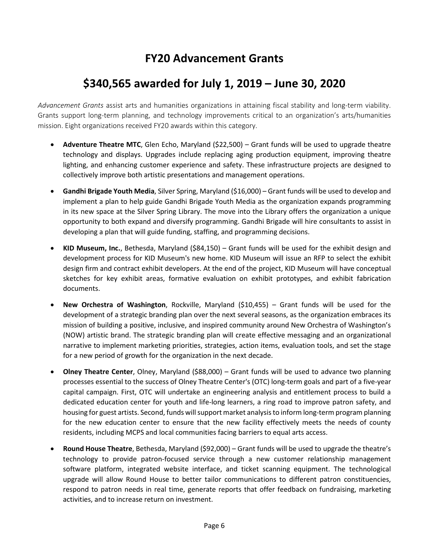## **FY20 Advancement Grants**

## **\$340,565 awarded for July 1, 2019 – June 30, 2020**

*Advancement Grants* assist arts and humanities organizations in attaining fiscal stability and long-term viability. Grants support long-term planning, and technology improvements critical to an organization's arts/humanities mission. Eight organizations received FY20 awards within this category.

- **Adventure Theatre MTC**, Glen Echo, Maryland (\$22,500) Grant funds will be used to upgrade theatre technology and displays. Upgrades include replacing aging production equipment, improving theatre lighting, and enhancing customer experience and safety. These infrastructure projects are designed to collectively improve both artistic presentations and management operations.
- **Gandhi Brigade Youth Media**, Silver Spring, Maryland (\$16,000) Grant funds will be used to develop and implement a plan to help guide Gandhi Brigade Youth Media as the organization expands programming in its new space at the Silver Spring Library. The move into the Library offers the organization a unique opportunity to both expand and diversify programming. Gandhi Brigade will hire consultants to assist in developing a plan that will guide funding, staffing, and programming decisions.
- **KID Museum, Inc.**, Bethesda, Maryland (\$84,150) Grant funds will be used for the exhibit design and development process for KID Museum's new home. KID Museum will issue an RFP to select the exhibit design firm and contract exhibit developers. At the end of the project, KID Museum will have conceptual sketches for key exhibit areas, formative evaluation on exhibit prototypes, and exhibit fabrication documents.
- **New Orchestra of Washington**, Rockville, Maryland (\$10,455) Grant funds will be used for the development of a strategic branding plan over the next several seasons, as the organization embraces its mission of building a positive, inclusive, and inspired community around New Orchestra of Washington's (NOW) artistic brand. The strategic branding plan will create effective messaging and an organizational narrative to implement marketing priorities, strategies, action items, evaluation tools, and set the stage for a new period of growth for the organization in the next decade.
- **Olney Theatre Center**, Olney, Maryland (\$88,000) Grant funds will be used to advance two planning processes essential to the success of Olney Theatre Center's (OTC) long-term goals and part of a five-year capital campaign. First, OTC will undertake an engineering analysis and entitlement process to build a dedicated education center for youth and life-long learners, a ring road to improve patron safety, and housing for guest artists. Second, funds will support market analysis to inform long-term program planning for the new education center to ensure that the new facility effectively meets the needs of county residents, including MCPS and local communities facing barriers to equal arts access.
- **Round House Theatre**, Bethesda, Maryland (\$92,000) Grant funds will be used to upgrade the theatre's technology to provide patron-focused service through a new customer relationship management software platform, integrated website interface, and ticket scanning equipment. The technological upgrade will allow Round House to better tailor communications to different patron constituencies, respond to patron needs in real time, generate reports that offer feedback on fundraising, marketing activities, and to increase return on investment.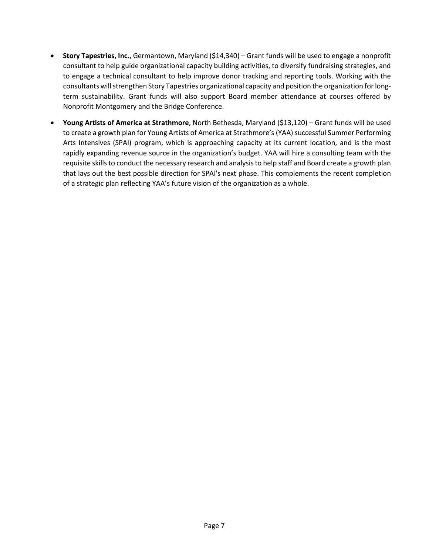- **Story Tapestries, Inc.**, Germantown, Maryland (\$14,340) Grant funds will be used to engage a nonprofit consultant to help guide organizational capacity building activities, to diversify fundraising strategies, and to engage a technical consultant to help improve donor tracking and reporting tools. Working with the consultants will strengthen Story Tapestries organizational capacity and position the organization for longterm sustainability. Grant funds will also support Board member attendance at courses offered by Nonprofit Montgomery and the Bridge Conference.
- **Young Artists of America at Strathmore**, North Bethesda, Maryland (\$13,120) Grant funds will be used to create a growth plan for Young Artists of America at Strathmore's (YAA) successful Summer Performing Arts Intensives (SPAI) program, which is approaching capacity at its current location, and is the most rapidly expanding revenue source in the organization's budget. YAA will hire a consulting team with the requisite skills to conduct the necessary research and analysis to help staff and Board create a growth plan that lays out the best possible direction for SPAI's next phase. This complements the recent completion of a strategic plan reflecting YAA's future vision of the organization as a whole.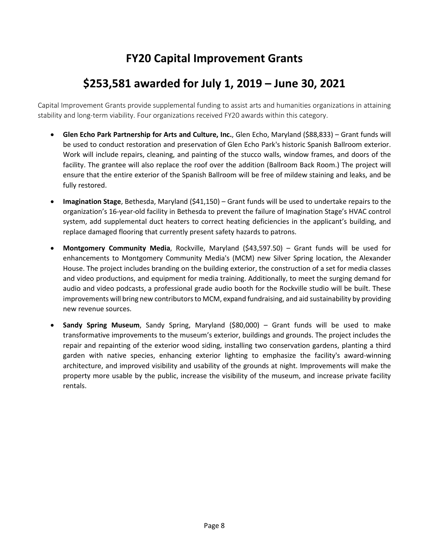## **FY20 Capital Improvement Grants**

## **\$253,581 awarded for July 1, 2019 – June 30, 2021**

Capital Improvement Grants provide supplemental funding to assist arts and humanities organizations in attaining stability and long-term viability. Four organizations received FY20 awards within this category.

- **Glen Echo Park Partnership for Arts and Culture, Inc.**, Glen Echo, Maryland (\$88,833) Grant funds will be used to conduct restoration and preservation of Glen Echo Park's historic Spanish Ballroom exterior. Work will include repairs, cleaning, and painting of the stucco walls, window frames, and doors of the facility. The grantee will also replace the roof over the addition (Ballroom Back Room.) The project will ensure that the entire exterior of the Spanish Ballroom will be free of mildew staining and leaks, and be fully restored.
- **Imagination Stage**, Bethesda, Maryland (\$41,150) Grant funds will be used to undertake repairs to the organization's 16-year-old facility in Bethesda to prevent the failure of Imagination Stage's HVAC control system, add supplemental duct heaters to correct heating deficiencies in the applicant's building, and replace damaged flooring that currently present safety hazards to patrons.
- **Montgomery Community Media**, Rockville, Maryland (\$43,597.50) Grant funds will be used for enhancements to Montgomery Community Media's (MCM) new Silver Spring location, the Alexander House. The project includes branding on the building exterior, the construction of a set for media classes and video productions, and equipment for media training. Additionally, to meet the surging demand for audio and video podcasts, a professional grade audio booth for the Rockville studio will be built. These improvements will bring new contributors to MCM, expand fundraising, and aid sustainability by providing new revenue sources.
- **Sandy Spring Museum**, Sandy Spring, Maryland (\$80,000) Grant funds will be used to make transformative improvements to the museum's exterior, buildings and grounds. The project includes the repair and repainting of the exterior wood siding, installing two conservation gardens, planting a third garden with native species, enhancing exterior lighting to emphasize the facility's award-winning architecture, and improved visibility and usability of the grounds at night. Improvements will make the property more usable by the public, increase the visibility of the museum, and increase private facility rentals.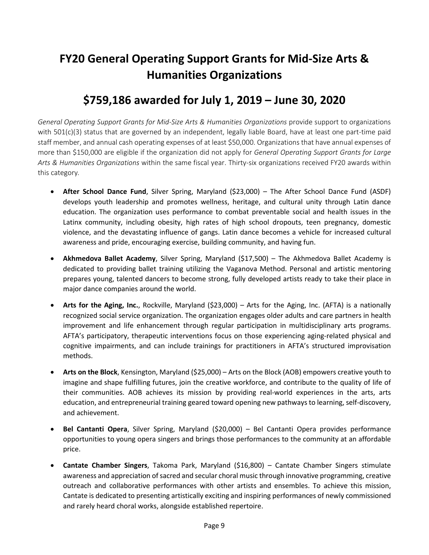# **FY20 General Operating Support Grants for Mid-Size Arts & Humanities Organizations**

## **\$759,186 awarded for July 1, 2019 – June 30, 2020**

*General Operating Support Grants for Mid-Size Arts & Humanities Organizations* provide support to organizations with 501(c)(3) status that are governed by an independent, legally liable Board, have at least one part-time paid staff member, and annual cash operating expenses of at least \$50,000. Organizations that have annual expenses of more than \$150,000 are eligible if the organization did not apply for *General Operating Support Grants for Large Arts & Humanities Organizations* within the same fiscal year. Thirty-six organizations received FY20 awards within this category*.*

- **After School Dance Fund**, Silver Spring, Maryland (\$23,000) The After School Dance Fund (ASDF) develops youth leadership and promotes wellness, heritage, and cultural unity through Latin dance education. The organization uses performance to combat preventable social and health issues in the Latinx community, including obesity, high rates of high school dropouts, teen pregnancy, domestic violence, and the devastating influence of gangs. Latin dance becomes a vehicle for increased cultural awareness and pride, encouraging exercise, building community, and having fun.
- **Akhmedova Ballet Academy**, Silver Spring, Maryland (\$17,500) The Akhmedova Ballet Academy is dedicated to providing ballet training utilizing the Vaganova Method. Personal and artistic mentoring prepares young, talented dancers to become strong, fully developed artists ready to take their place in major dance companies around the world.
- **Arts for the Aging, Inc.**, Rockville, Maryland (\$23,000) Arts for the Aging, Inc. (AFTA) is a nationally recognized social service organization. The organization engages older adults and care partners in health improvement and life enhancement through regular participation in multidisciplinary arts programs. AFTA's participatory, therapeutic interventions focus on those experiencing aging-related physical and cognitive impairments, and can include trainings for practitioners in AFTA's structured improvisation methods.
- **Arts on the Block**, Kensington, Maryland (\$25,000) Arts on the Block (AOB) empowers creative youth to imagine and shape fulfilling futures, join the creative workforce, and contribute to the quality of life of their communities. AOB achieves its mission by providing real-world experiences in the arts, arts education, and entrepreneurial training geared toward opening new pathways to learning, self-discovery, and achievement.
- **Bel Cantanti Opera**, Silver Spring, Maryland (\$20,000) Bel Cantanti Opera provides performance opportunities to young opera singers and brings those performances to the community at an affordable price.
- **Cantate Chamber Singers**, Takoma Park, Maryland (\$16,800) Cantate Chamber Singers stimulate awareness and appreciation of sacred and secular choral music through innovative programming, creative outreach and collaborative performances with other artists and ensembles. To achieve this mission, Cantate is dedicated to presenting artistically exciting and inspiring performances of newly commissioned and rarely heard choral works, alongside established repertoire.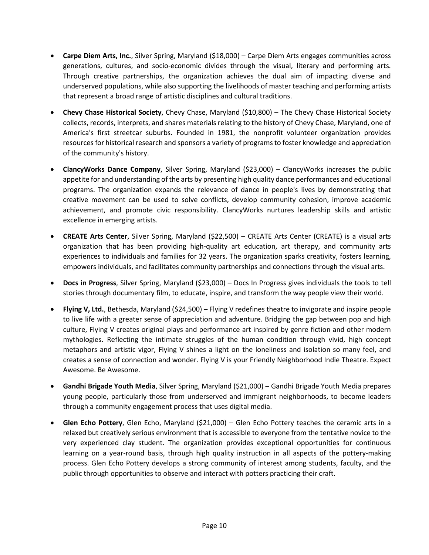- **Carpe Diem Arts, Inc.**, Silver Spring, Maryland (\$18,000) Carpe Diem Arts engages communities across generations, cultures, and socio-economic divides through the visual, literary and performing arts. Through creative partnerships, the organization achieves the dual aim of impacting diverse and underserved populations, while also supporting the livelihoods of master teaching and performing artists that represent a broad range of artistic disciplines and cultural traditions.
- **Chevy Chase Historical Society**, Chevy Chase, Maryland (\$10,800) The Chevy Chase Historical Society collects, records, interprets, and shares materials relating to the history of Chevy Chase, Maryland, one of America's first streetcar suburbs. Founded in 1981, the nonprofit volunteer organization provides resources for historical research and sponsors a variety of programs to foster knowledge and appreciation of the community's history.
- **ClancyWorks Dance Company**, Silver Spring, Maryland (\$23,000) ClancyWorks increases the public appetite for and understanding of the arts by presenting high quality dance performances and educational programs. The organization expands the relevance of dance in people's lives by demonstrating that creative movement can be used to solve conflicts, develop community cohesion, improve academic achievement, and promote civic responsibility. ClancyWorks nurtures leadership skills and artistic excellence in emerging artists.
- **CREATE Arts Center**, Silver Spring, Maryland (\$22,500) CREATE Arts Center (CREATE) is a visual arts organization that has been providing high-quality art education, art therapy, and community arts experiences to individuals and families for 32 years. The organization sparks creativity, fosters learning, empowers individuals, and facilitates community partnerships and connections through the visual arts.
- **Docs in Progress**, Silver Spring, Maryland (\$23,000) Docs In Progress gives individuals the tools to tell stories through documentary film, to educate, inspire, and transform the way people view their world.
- **Flying V, Ltd.**, Bethesda, Maryland (\$24,500) Flying V redefines theatre to invigorate and inspire people to live life with a greater sense of appreciation and adventure. Bridging the gap between pop and high culture, Flying V creates original plays and performance art inspired by genre fiction and other modern mythologies. Reflecting the intimate struggles of the human condition through vivid, high concept metaphors and artistic vigor, Flying V shines a light on the loneliness and isolation so many feel, and creates a sense of connection and wonder. Flying V is your Friendly Neighborhood Indie Theatre. Expect Awesome. Be Awesome.
- **Gandhi Brigade Youth Media**, Silver Spring, Maryland (\$21,000) Gandhi Brigade Youth Media prepares young people, particularly those from underserved and immigrant neighborhoods, to become leaders through a community engagement process that uses digital media.
- **Glen Echo Pottery**, Glen Echo, Maryland (\$21,000) Glen Echo Pottery teaches the ceramic arts in a relaxed but creatively serious environment that is accessible to everyone from the tentative novice to the very experienced clay student. The organization provides exceptional opportunities for continuous learning on a year-round basis, through high quality instruction in all aspects of the pottery-making process. Glen Echo Pottery develops a strong community of interest among students, faculty, and the public through opportunities to observe and interact with potters practicing their craft.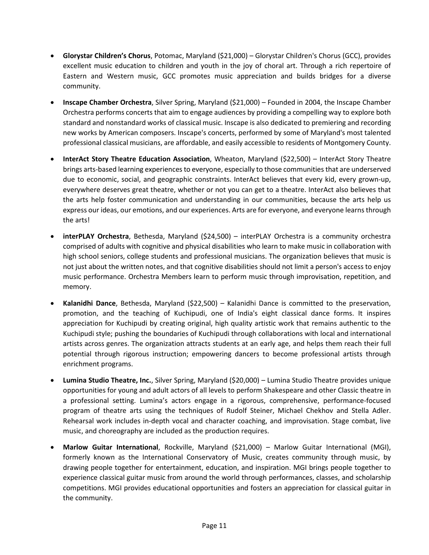- **Glorystar Children's Chorus**, Potomac, Maryland (\$21,000) Glorystar Children's Chorus (GCC), provides excellent music education to children and youth in the joy of choral art. Through a rich repertoire of Eastern and Western music, GCC promotes music appreciation and builds bridges for a diverse community.
- **Inscape Chamber Orchestra**, Silver Spring, Maryland (\$21,000) Founded in 2004, the Inscape Chamber Orchestra performs concerts that aim to engage audiences by providing a compelling way to explore both standard and nonstandard works of classical music. Inscape is also dedicated to premiering and recording new works by American composers. Inscape's concerts, performed by some of Maryland's most talented professional classical musicians, are affordable, and easily accessible to residents of Montgomery County.
- **InterAct Story Theatre Education Association**, Wheaton, Maryland (\$22,500) InterAct Story Theatre brings arts-based learning experiences to everyone, especially to those communities that are underserved due to economic, social, and geographic constraints. InterAct believes that every kid, every grown-up, everywhere deserves great theatre, whether or not you can get to a theatre. InterAct also believes that the arts help foster communication and understanding in our communities, because the arts help us express our ideas, our emotions, and our experiences. Arts are for everyone, and everyone learns through the arts!
- **interPLAY Orchestra**, Bethesda, Maryland (\$24,500) interPLAY Orchestra is a community orchestra comprised of adults with cognitive and physical disabilities who learn to make music in collaboration with high school seniors, college students and professional musicians. The organization believes that music is not just about the written notes, and that cognitive disabilities should not limit a person's access to enjoy music performance. Orchestra Members learn to perform music through improvisation, repetition, and memory.
- **Kalanidhi Dance**, Bethesda, Maryland (\$22,500) Kalanidhi Dance is committed to the preservation, promotion, and the teaching of Kuchipudi, one of India's eight classical dance forms. It inspires appreciation for Kuchipudi by creating original, high quality artistic work that remains authentic to the Kuchipudi style; pushing the boundaries of Kuchipudi through collaborations with local and international artists across genres. The organization attracts students at an early age, and helps them reach their full potential through rigorous instruction; empowering dancers to become professional artists through enrichment programs.
- **Lumina Studio Theatre, Inc.**, Silver Spring, Maryland (\$20,000) Lumina Studio Theatre provides unique opportunities for young and adult actors of all levels to perform Shakespeare and other Classic theatre in a professional setting. Lumina's actors engage in a rigorous, comprehensive, performance-focused program of theatre arts using the techniques of Rudolf Steiner, Michael Chekhov and Stella Adler. Rehearsal work includes in-depth vocal and character coaching, and improvisation. Stage combat, live music, and choreography are included as the production requires.
- **Marlow Guitar International**, Rockville, Maryland (\$21,000) Marlow Guitar International (MGI), formerly known as the International Conservatory of Music, creates community through music, by drawing people together for entertainment, education, and inspiration. MGI brings people together to experience classical guitar music from around the world through performances, classes, and scholarship competitions. MGI provides educational opportunities and fosters an appreciation for classical guitar in the community.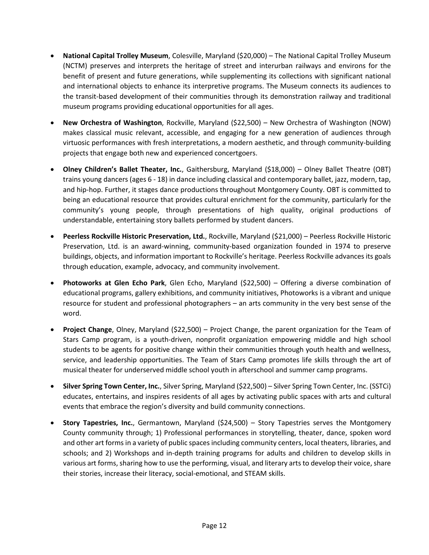- **National Capital Trolley Museum**, Colesville, Maryland (\$20,000) The National Capital Trolley Museum (NCTM) preserves and interprets the heritage of street and interurban railways and environs for the benefit of present and future generations, while supplementing its collections with significant national and international objects to enhance its interpretive programs. The Museum connects its audiences to the transit-based development of their communities through its demonstration railway and traditional museum programs providing educational opportunities for all ages.
- **New Orchestra of Washington**, Rockville, Maryland (\$22,500) New Orchestra of Washington (NOW) makes classical music relevant, accessible, and engaging for a new generation of audiences through virtuosic performances with fresh interpretations, a modern aesthetic, and through community-building projects that engage both new and experienced concertgoers.
- **Olney Children's Ballet Theater, Inc.**, Gaithersburg, Maryland (\$18,000) Olney Ballet Theatre (OBT) trains young dancers (ages 6 - 18) in dance including classical and contemporary ballet, jazz, modern, tap, and hip-hop. Further, it stages dance productions throughout Montgomery County. OBT is committed to being an educational resource that provides cultural enrichment for the community, particularly for the community's young people, through presentations of high quality, original productions of understandable, entertaining story ballets performed by student dancers.
- **Peerless Rockville Historic Preservation, Ltd.**, Rockville, Maryland (\$21,000) Peerless Rockville Historic Preservation, Ltd. is an award-winning, community-based organization founded in 1974 to preserve buildings, objects, and information important to Rockville's heritage. Peerless Rockville advances its goals through education, example, advocacy, and community involvement.
- **Photoworks at Glen Echo Park**, Glen Echo, Maryland (\$22,500) Offering a diverse combination of educational programs, gallery exhibitions, and community initiatives, Photoworks is a vibrant and unique resource for student and professional photographers – an arts community in the very best sense of the word.
- **Project Change**, Olney, Maryland (\$22,500) Project Change, the parent organization for the Team of Stars Camp program, is a youth-driven, nonprofit organization empowering middle and high school students to be agents for positive change within their communities through youth health and wellness, service, and leadership opportunities. The Team of Stars Camp promotes life skills through the art of musical theater for underserved middle school youth in afterschool and summer camp programs.
- **Silver Spring Town Center, Inc.**, Silver Spring, Maryland (\$22,500) Silver Spring Town Center, Inc. (SSTCi) educates, entertains, and inspires residents of all ages by activating public spaces with arts and cultural events that embrace the region's diversity and build community connections.
- **Story Tapestries, Inc.**, Germantown, Maryland (\$24,500) Story Tapestries serves the Montgomery County community through; 1) Professional performances in storytelling, theater, dance, spoken word and other art forms in a variety of public spaces including community centers, local theaters, libraries, and schools; and 2) Workshops and in-depth training programs for adults and children to develop skills in various art forms, sharing how to use the performing, visual, and literary arts to develop their voice, share their stories, increase their literacy, social-emotional, and STEAM skills.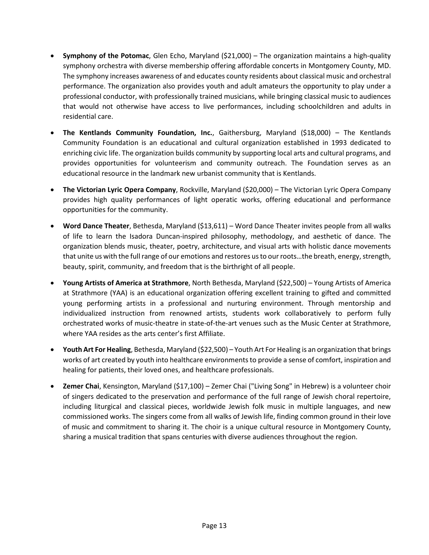- **Symphony of the Potomac**, Glen Echo, Maryland (\$21,000) The organization maintains a high-quality symphony orchestra with diverse membership offering affordable concerts in Montgomery County, MD. The symphony increases awareness of and educates county residents about classical music and orchestral performance. The organization also provides youth and adult amateurs the opportunity to play under a professional conductor, with professionally trained musicians, while bringing classical music to audiences that would not otherwise have access to live performances, including schoolchildren and adults in residential care.
- **The Kentlands Community Foundation, Inc.**, Gaithersburg, Maryland (\$18,000) The Kentlands Community Foundation is an educational and cultural organization established in 1993 dedicated to enriching civic life. The organization builds community by supporting local arts and cultural programs, and provides opportunities for volunteerism and community outreach. The Foundation serves as an educational resource in the landmark new urbanist community that is Kentlands.
- **The Victorian Lyric Opera Company**, Rockville, Maryland (\$20,000) The Victorian Lyric Opera Company provides high quality performances of light operatic works, offering educational and performance opportunities for the community.
- **Word Dance Theater**, Bethesda, Maryland (\$13,611) Word Dance Theater invites people from all walks of life to learn the Isadora Duncan-inspired philosophy, methodology, and aesthetic of dance. The organization blends music, theater, poetry, architecture, and visual arts with holistic dance movements that unite us with the full range of our emotions and restores us to our roots…the breath, energy, strength, beauty, spirit, community, and freedom that is the birthright of all people.
- **Young Artists of America at Strathmore**, North Bethesda, Maryland (\$22,500) Young Artists of America at Strathmore (YAA) is an educational organization offering excellent training to gifted and committed young performing artists in a professional and nurturing environment. Through mentorship and individualized instruction from renowned artists, students work collaboratively to perform fully orchestrated works of music-theatre in state-of-the-art venues such as the Music Center at Strathmore, where YAA resides as the arts center's first Affiliate.
- **Youth Art For Healing**, Bethesda, Maryland (\$22,500) Youth Art For Healing is an organization that brings works of art created by youth into healthcare environments to provide a sense of comfort, inspiration and healing for patients, their loved ones, and healthcare professionals.
- **Zemer Chai**, Kensington, Maryland (\$17,100) Zemer Chai ("Living Song" in Hebrew) is a volunteer choir of singers dedicated to the preservation and performance of the full range of Jewish choral repertoire, including liturgical and classical pieces, worldwide Jewish folk music in multiple languages, and new commissioned works. The singers come from all walks of Jewish life, finding common ground in their love of music and commitment to sharing it. The choir is a unique cultural resource in Montgomery County, sharing a musical tradition that spans centuries with diverse audiences throughout the region.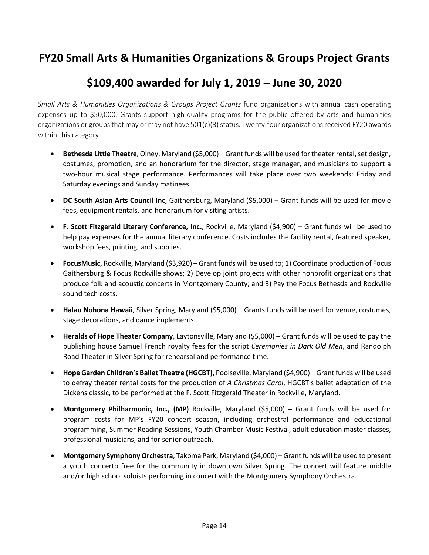#### **FY20 Small Arts & Humanities Organizations & Groups Project Grants**

## **\$109,400 awarded for July 1, 2019 – June 30, 2020**

*Small Arts & Humanities Organizations & Groups Project Grants* fund organizations with annual cash operating expenses up to \$50,000. Grants support high-quality programs for the public offered by arts and humanities organizations or groups that may or may not have 501(c)(3) status. Twenty-four organizations received FY20 awards within this category.

- **Bethesda Little Theatre**, Olney, Maryland (\$5,000) Grant funds will be used for theater rental, set design, costumes, promotion, and an honorarium for the director, stage manager, and musicians to support a two-hour musical stage performance. Performances will take place over two weekends: Friday and Saturday evenings and Sunday matinees.
- **DC South Asian Arts Council Inc**, Gaithersburg, Maryland (\$5,000) Grant funds will be used for movie fees, equipment rentals, and honorarium for visiting artists.
- **F. Scott Fitzgerald Literary Conference, Inc.**, Rockville, Maryland (\$4,900) Grant funds will be used to help pay expenses for the annual literary conference. Costs includes the facility rental, featured speaker, workshop fees, printing, and supplies.
- **FocusMusic**, Rockville, Maryland (\$3,920) Grant funds will be used to; 1) Coordinate production of Focus Gaithersburg & Focus Rockville shows; 2) Develop joint projects with other nonprofit organizations that produce folk and acoustic concerts in Montgomery County; and 3) Pay the Focus Bethesda and Rockville sound tech costs.
- **Halau Nohona Hawaii**, Silver Spring, Maryland (\$5,000) Grants funds will be used for venue, costumes, stage decorations, and dance implements.
- **Heralds of Hope Theater Company**, Laytonsville, Maryland (\$5,000) Grant funds will be used to pay the publishing house Samuel French royalty fees for the script *Ceremonies in Dark Old Men*, and Randolph Road Theater in Silver Spring for rehearsal and performance time.
- **Hope Garden Children's Ballet Theatre (HGCBT)**, Poolseville, Maryland (\$4,900) Grant funds will be used to defray theater rental costs for the production of *A Christmas Carol*, HGCBT's ballet adaptation of the Dickens classic, to be performed at the F. Scott Fitzgerald Theater in Rockville, Maryland.
- **Montgomery Philharmonic, Inc., (MP)** Rockville, Maryland (\$5,000) Grant funds will be used for program costs for MP's FY20 concert season, including orchestral performance and educational programming, Summer Reading Sessions, Youth Chamber Music Festival, adult education master classes, professional musicians, and for senior outreach.
- **Montgomery Symphony Orchestra**, Takoma Park, Maryland (\$4,000) Grant funds will be used to present a youth concerto free for the community in downtown Silver Spring. The concert will feature middle and/or high school soloists performing in concert with the Montgomery Symphony Orchestra.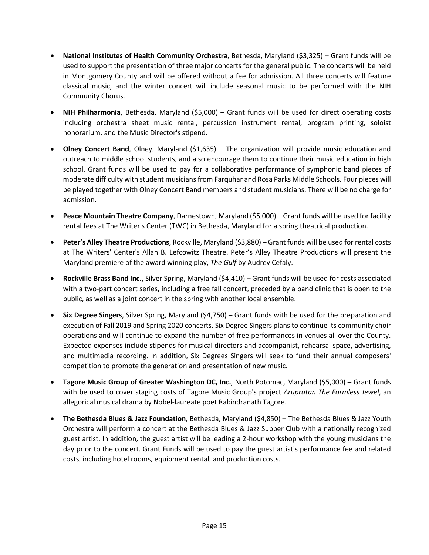- **National Institutes of Health Community Orchestra**, Bethesda, Maryland (\$3,325) Grant funds will be used to support the presentation of three major concerts for the general public. The concerts will be held in Montgomery County and will be offered without a fee for admission. All three concerts will feature classical music, and the winter concert will include seasonal music to be performed with the NIH Community Chorus.
- **NIH Philharmonia**, Bethesda, Maryland (\$5,000) Grant funds will be used for direct operating costs including orchestra sheet music rental, percussion instrument rental, program printing, soloist honorarium, and the Music Director's stipend.
- **Olney Concert Band**, Olney, Maryland (\$1,635) The organization will provide music education and outreach to middle school students, and also encourage them to continue their music education in high school. Grant funds will be used to pay for a collaborative performance of symphonic band pieces of moderate difficulty with student musicians from Farquhar and Rosa Parks Middle Schools. Four pieces will be played together with Olney Concert Band members and student musicians. There will be no charge for admission.
- **Peace Mountain Theatre Company**, Darnestown, Maryland (\$5,000) Grant funds will be used for facility rental fees at The Writer's Center (TWC) in Bethesda, Maryland for a spring theatrical production.
- **Peter's Alley Theatre Productions**, Rockville, Maryland (\$3,880) Grant funds will be used for rental costs at The Writers' Center's Allan B. Lefcowitz Theatre. Peter's Alley Theatre Productions will present the Maryland premiere of the award winning play, *The Gulf* by Audrey Cefaly.
- **Rockville Brass Band Inc.**, Silver Spring, Maryland (\$4,410) Grant funds will be used for costs associated with a two-part concert series, including a free fall concert, preceded by a band clinic that is open to the public, as well as a joint concert in the spring with another local ensemble.
- **Six Degree Singers**, Silver Spring, Maryland (\$4,750) Grant funds with be used for the preparation and execution of Fall 2019 and Spring 2020 concerts. Six Degree Singers plans to continue its community choir operations and will continue to expand the number of free performances in venues all over the County. Expected expenses include stipends for musical directors and accompanist, rehearsal space, advertising, and multimedia recording. In addition, Six Degrees Singers will seek to fund their annual composers' competition to promote the generation and presentation of new music.
- **Tagore Music Group of Greater Washington DC, Inc.**, North Potomac, Maryland (\$5,000) Grant funds with be used to cover staging costs of Tagore Music Group's project *Arupratan The Formless Jewel*, an allegorical musical drama by Nobel-laureate poet Rabindranath Tagore.
- **The Bethesda Blues & Jazz Foundation**, Bethesda, Maryland (\$4,850) The Bethesda Blues & Jazz Youth Orchestra will perform a concert at the Bethesda Blues & Jazz Supper Club with a nationally recognized guest artist. In addition, the guest artist will be leading a 2-hour workshop with the young musicians the day prior to the concert. Grant Funds will be used to pay the guest artist's performance fee and related costs, including hotel rooms, equipment rental, and production costs.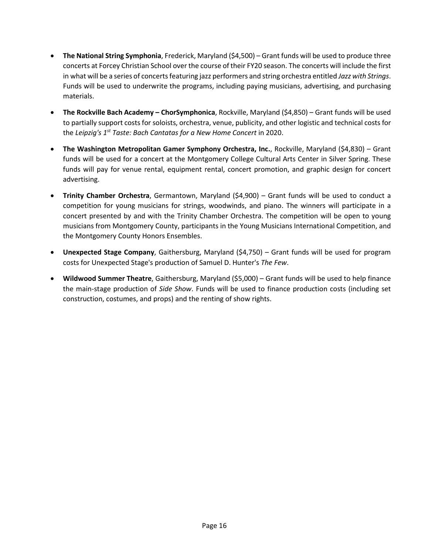- **The National String Symphonia**, Frederick, Maryland (\$4,500) Grant funds will be used to produce three concerts at Forcey Christian School over the course of their FY20 season. The concerts will include the first in what will be a series of concerts featuring jazz performers and string orchestra entitled *Jazz with Strings*. Funds will be used to underwrite the programs, including paying musicians, advertising, and purchasing materials.
- **The Rockville Bach Academy – ChorSymphonica**, Rockville, Maryland (\$4,850) Grant funds will be used to partially support costs for soloists, orchestra, venue, publicity, and other logistic and technical costs for the *Leipzig's 1st Taste: Bach Cantatas for a New Home Concert* in 2020.
- **The Washington Metropolitan Gamer Symphony Orchestra, Inc.**, Rockville, Maryland (\$4,830) Grant funds will be used for a concert at the Montgomery College Cultural Arts Center in Silver Spring. These funds will pay for venue rental, equipment rental, concert promotion, and graphic design for concert advertising.
- **Trinity Chamber Orchestra**, Germantown, Maryland (\$4,900) Grant funds will be used to conduct a competition for young musicians for strings, woodwinds, and piano. The winners will participate in a concert presented by and with the Trinity Chamber Orchestra. The competition will be open to young musicians from Montgomery County, participants in the Young Musicians International Competition, and the Montgomery County Honors Ensembles.
- **Unexpected Stage Company**, Gaithersburg, Maryland (\$4,750) Grant funds will be used for program costs for Unexpected Stage's production of Samuel D. Hunter's *The Few*.
- **Wildwood Summer Theatre**, Gaithersburg, Maryland (\$5,000) Grant funds will be used to help finance the main-stage production of *Side Show*. Funds will be used to finance production costs (including set construction, costumes, and props) and the renting of show rights.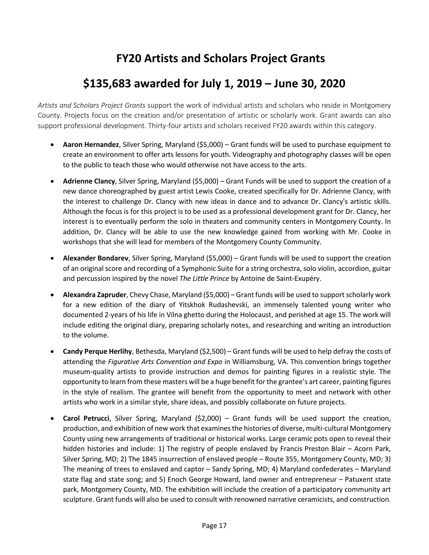## **FY20 Artists and Scholars Project Grants**

## **\$135,683 awarded for July 1, 2019 – June 30, 2020**

*Artists and Scholars Project Grants* support the work of individual artists and scholars who reside in Montgomery County. Projects focus on the creation and/or presentation of artistic or scholarly work. Grant awards can also support professional development. Thirty-four artists and scholars received FY20 awards within this category.

- **Aaron Hernandez**, Silver Spring, Maryland (\$5,000) Grant funds will be used to purchase equipment to create an environment to offer arts lessons for youth. Videography and photography classes will be open to the public to teach those who would otherwise not have access to the arts.
- **Adrienne Clancy**, Silver Spring, Maryland (\$5,000) Grant Funds will be used to support the creation of a new dance choreographed by guest artist Lewis Cooke, created specifically for Dr. Adrienne Clancy, with the interest to challenge Dr. Clancy with new ideas in dance and to advance Dr. Clancy's artistic skills. Although the focus is for this project is to be used as a professional development grant for Dr. Clancy, her interest is to eventually perform the solo in theaters and community centers in Montgomery County. In addition, Dr. Clancy will be able to use the new knowledge gained from working with Mr. Cooke in workshops that she will lead for members of the Montgomery County Community.
- **Alexander Bondarev**, Silver Spring, Maryland (\$5,000) Grant funds will be used to support the creation of an original score and recording of a Symphonic Suite for a string orchestra, solo violin, accordion, guitar and percussion inspired by the novel *The Little Prince* by Antoine de Saint-Exupéry.
- **Alexandra Zapruder**, Chevy Chase, Maryland (\$5,000) Grant funds will be used to support scholarly work for a new edition of the diary of Yitskhok Rudashevski, an immensely talented young writer who documented 2-years of his life in Vilna ghetto during the Holocaust, and perished at age 15. The work will include editing the original diary, preparing scholarly notes, and researching and writing an introduction to the volume.
- **Candy Perque Herlihy**, Bethesda, Maryland (\$2,500) Grant funds will be used to help defray the costs of attending the *Figurative Arts Convention and Expo* in Williamsburg, VA. This convention brings together museum-quality artists to provide instruction and demos for painting figures in a realistic style. The opportunity to learn from these masters will be a huge benefit for the grantee's art career, painting figures in the style of realism. The grantee will benefit from the opportunity to meet and network with other artists who work in a similar style, share ideas, and possibly collaborate on future projects.
- **Carol Petrucci**, Silver Spring, Maryland (\$2,000) Grant funds will be used support the creation, production, and exhibition of new work that examines the histories of diverse, multi-cultural Montgomery County using new arrangements of traditional or historical works. Large ceramic pots open to reveal their hidden histories and include: 1) The registry of people enslaved by Francis Preston Blair – Acorn Park, Silver Spring, MD; 2) The 1845 insurrection of enslaved people – Route 355, Montgomery County, MD; 3) The meaning of trees to enslaved and captor – Sandy Spring, MD; 4) Maryland confederates – Maryland state flag and state song; and 5) Enoch George Howard, land owner and entrepreneur – Patuxent state park, Montgomery County, MD. The exhibition will include the creation of a participatory community art sculpture. Grant funds will also be used to consult with renowned narrative ceramicists, and construction.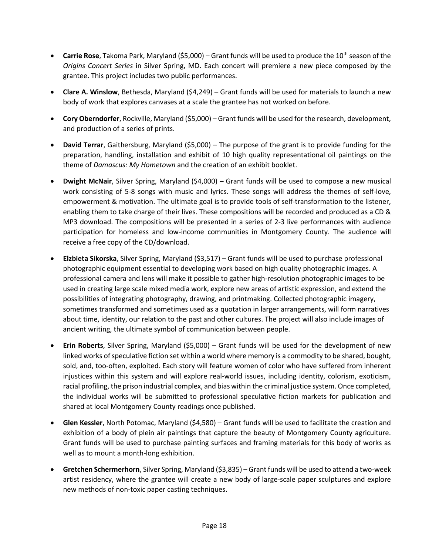- **Carrie Rose**, Takoma Park, Maryland (\$5,000) Grant funds will be used to produce the 10<sup>th</sup> season of the *Origins Concert Series* in Silver Spring, MD. Each concert will premiere a new piece composed by the grantee. This project includes two public performances.
- **Clare A. Winslow**, Bethesda, Maryland (\$4,249) Grant funds will be used for materials to launch a new body of work that explores canvases at a scale the grantee has not worked on before.
- **Cory Oberndorfer**, Rockville, Maryland (\$5,000) Grant funds will be used for the research, development, and production of a series of prints.
- **David Terrar**, Gaithersburg, Maryland (\$5,000) The purpose of the grant is to provide funding for the preparation, handling, installation and exhibit of 10 high quality representational oil paintings on the theme of *Damascus: My Hometown* and the creation of an exhibit booklet.
- **Dwight McNair**, Silver Spring, Maryland (\$4,000) Grant funds will be used to compose a new musical work consisting of 5-8 songs with music and lyrics. These songs will address the themes of self-love, empowerment & motivation. The ultimate goal is to provide tools of self-transformation to the listener, enabling them to take charge of their lives. These compositions will be recorded and produced as a CD & MP3 download. The compositions will be presented in a series of 2-3 live performances with audience participation for homeless and low-income communities in Montgomery County. The audience will receive a free copy of the CD/download.
- **Elzbieta Sikorska**, Silver Spring, Maryland (\$3,517) Grant funds will be used to purchase professional photographic equipment essential to developing work based on high quality photographic images. A professional camera and lens will make it possible to gather high-resolution photographic images to be used in creating large scale mixed media work, explore new areas of artistic expression, and extend the possibilities of integrating photography, drawing, and printmaking. Collected photographic imagery, sometimes transformed and sometimes used as a quotation in larger arrangements, will form narratives about time, identity, our relation to the past and other cultures. The project will also include images of ancient writing, the ultimate symbol of communication between people.
- **Erin Roberts**, Silver Spring, Maryland (\$5,000) Grant funds will be used for the development of new linked works of speculative fiction set within a world where memory is a commodity to be shared, bought, sold, and, too-often, exploited. Each story will feature women of color who have suffered from inherent injustices within this system and will explore real-world issues, including identity, colorism, exoticism, racial profiling, the prison industrial complex, and bias within the criminal justice system. Once completed, the individual works will be submitted to professional speculative fiction markets for publication and shared at local Montgomery County readings once published.
- **Glen Kessler**, North Potomac, Maryland (\$4,580) Grant funds will be used to facilitate the creation and exhibition of a body of plein air paintings that capture the beauty of Montgomery County agriculture. Grant funds will be used to purchase painting surfaces and framing materials for this body of works as well as to mount a month-long exhibition.
- **Gretchen Schermerhorn**, Silver Spring, Maryland (\$3,835) Grant funds will be used to attend a two-week artist residency, where the grantee will create a new body of large-scale paper sculptures and explore new methods of non-toxic paper casting techniques.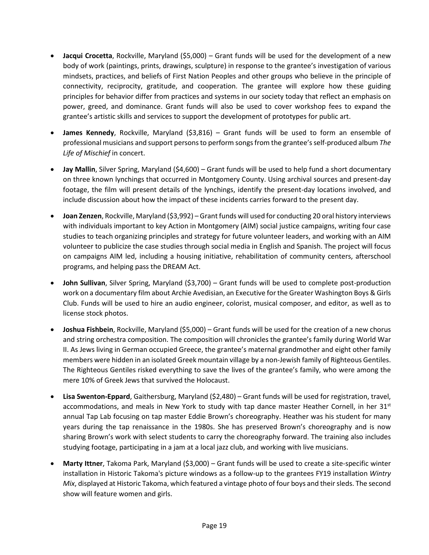- **Jacqui Crocetta**, Rockville, Maryland (\$5,000) Grant funds will be used for the development of a new body of work (paintings, prints, drawings, sculpture) in response to the grantee's investigation of various mindsets, practices, and beliefs of First Nation Peoples and other groups who believe in the principle of connectivity, reciprocity, gratitude, and cooperation. The grantee will explore how these guiding principles for behavior differ from practices and systems in our society today that reflect an emphasis on power, greed, and dominance. Grant funds will also be used to cover workshop fees to expand the grantee's artistic skills and services to support the development of prototypes for public art.
- **James Kennedy**, Rockville, Maryland (\$3,816) Grant funds will be used to form an ensemble of professional musicians and support persons to perform songs from the grantee's self-produced album *The Life of Mischief* in concert.
- **Jay Mallin**, Silver Spring, Maryland (\$4,600) Grant funds will be used to help fund a short documentary on three known lynchings that occurred in Montgomery County. Using archival sources and present-day footage, the film will present details of the lynchings, identify the present-day locations involved, and include discussion about how the impact of these incidents carries forward to the present day.
- **Joan Zenzen**, Rockville, Maryland (\$3,992) Grant funds will used for conducting 20 oral history interviews with individuals important to key Action in Montgomery (AIM) social justice campaigns, writing four case studies to teach organizing principles and strategy for future volunteer leaders, and working with an AIM volunteer to publicize the case studies through social media in English and Spanish. The project will focus on campaigns AIM led, including a housing initiative, rehabilitation of community centers, afterschool programs, and helping pass the DREAM Act.
- **John Sullivan**, Silver Spring, Maryland (\$3,700) Grant funds will be used to complete post-production work on a documentary film about Archie Avedisian, an Executive for the Greater Washington Boys & Girls Club. Funds will be used to hire an audio engineer, colorist, musical composer, and editor, as well as to license stock photos.
- **Joshua Fishbein**, Rockville, Maryland (\$5,000) Grant funds will be used for the creation of a new chorus and string orchestra composition. The composition will chronicles the grantee's family during World War II. As Jews living in German occupied Greece, the grantee's maternal grandmother and eight other family members were hidden in an isolated Greek mountain village by a non-Jewish family of Righteous Gentiles. The Righteous Gentiles risked everything to save the lives of the grantee's family, who were among the mere 10% of Greek Jews that survived the Holocaust.
- **Lisa Swenton-Eppard**, Gaithersburg, Maryland (\$2,480) Grant funds will be used for registration, travel, accommodations, and meals in New York to study with tap dance master Heather Cornell, in her  $31<sup>st</sup>$ annual Tap Lab focusing on tap master Eddie Brown's choreography. Heather was his student for many years during the tap renaissance in the 1980s. She has preserved Brown's choreography and is now sharing Brown's work with select students to carry the choreography forward. The training also includes studying footage, participating in a jam at a local jazz club, and working with live musicians.
- **Marty Ittner**, Takoma Park, Maryland (\$3,000) Grant funds will be used to create a site-specific winter installation in Historic Takoma's picture windows as a follow-up to the grantees FY19 installation *Wintry Mix*, displayed at Historic Takoma, which featured a vintage photo of four boys and their sleds. The second show will feature women and girls.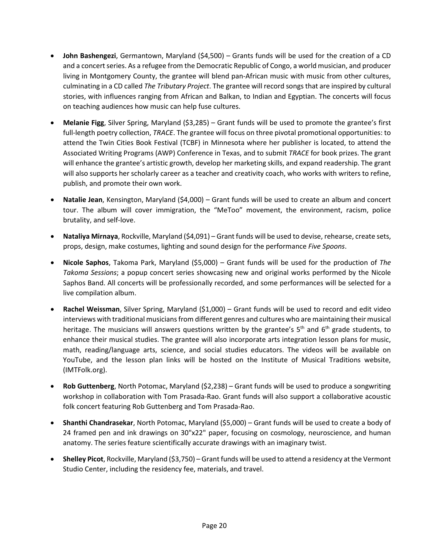- **John Bashengezi**, Germantown, Maryland (\$4,500) Grants funds will be used for the creation of a CD and a concert series. As a refugee from the Democratic Republic of Congo, a world musician, and producer living in Montgomery County, the grantee will blend pan-African music with music from other cultures, culminating in a CD called *The Tributary Project*. The grantee will record songs that are inspired by cultural stories, with influences ranging from African and Balkan, to Indian and Egyptian. The concerts will focus on teaching audiences how music can help fuse cultures.
- **Melanie Figg**, Silver Spring, Maryland (\$3,285) Grant funds will be used to promote the grantee's first full-length poetry collection, *TRACE*. The grantee will focus on three pivotal promotional opportunities: to attend the Twin Cities Book Festival (TCBF) in Minnesota where her publisher is located, to attend the Associated Writing Programs (AWP) Conference in Texas, and to submit *TRACE* for book prizes. The grant will enhance the grantee's artistic growth, develop her marketing skills, and expand readership. The grant will also supports her scholarly career as a teacher and creativity coach, who works with writers to refine, publish, and promote their own work.
- **Natalie Jean**, Kensington, Maryland (\$4,000) Grant funds will be used to create an album and concert tour. The album will cover immigration, the "MeToo" movement, the environment, racism, police brutality, and self-love.
- **Nataliya Mirnaya**, Rockville, Maryland (\$4,091) Grant funds will be used to devise, rehearse, create sets, props, design, make costumes, lighting and sound design for the performance *Five Spoons*.
- **Nicole Saphos**, Takoma Park, Maryland (\$5,000) Grant funds will be used for the production of *The Takoma Sessions*; a popup concert series showcasing new and original works performed by the Nicole Saphos Band. All concerts will be professionally recorded, and some performances will be selected for a live compilation album.
- **Rachel Weissman**, Silver Spring, Maryland (\$1,000) Grant funds will be used to record and edit video interviews with traditional musicians from different genres and cultures who are maintaining their musical heritage. The musicians will answers questions written by the grantee's 5<sup>th</sup> and 6<sup>th</sup> grade students, to enhance their musical studies. The grantee will also incorporate arts integration lesson plans for music, math, reading/language arts, science, and social studies educators. The videos will be available on YouTube, and the lesson plan links will be hosted on the Institute of Musical Traditions website, (IMTFolk.org).
- **Rob Guttenberg**, North Potomac, Maryland (\$2,238) Grant funds will be used to produce a songwriting workshop in collaboration with Tom Prasada-Rao. Grant funds will also support a collaborative acoustic folk concert featuring Rob Guttenberg and Tom Prasada-Rao.
- **Shanthi Chandrasekar**, North Potomac, Maryland (\$5,000) Grant funds will be used to create a body of 24 framed pen and ink drawings on 30"x22" paper, focusing on cosmology, neuroscience, and human anatomy. The series feature scientifically accurate drawings with an imaginary twist.
- **Shelley Picot**, Rockville, Maryland (\$3,750) Grant funds will be used to attend a residency at the Vermont Studio Center, including the residency fee, materials, and travel.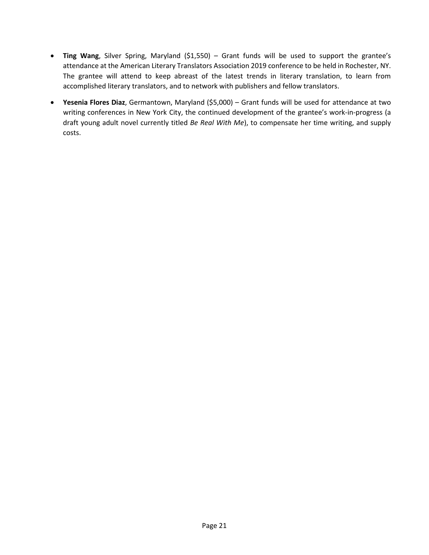- **Ting Wang**, Silver Spring, Maryland (\$1,550) Grant funds will be used to support the grantee's attendance at the American Literary Translators Association 2019 conference to be held in Rochester, NY. The grantee will attend to keep abreast of the latest trends in literary translation, to learn from accomplished literary translators, and to network with publishers and fellow translators.
- **Yesenia Flores Diaz**, Germantown, Maryland (\$5,000) Grant funds will be used for attendance at two writing conferences in New York City, the continued development of the grantee's work-in-progress (a draft young adult novel currently titled *Be Real With Me*), to compensate her time writing, and supply costs.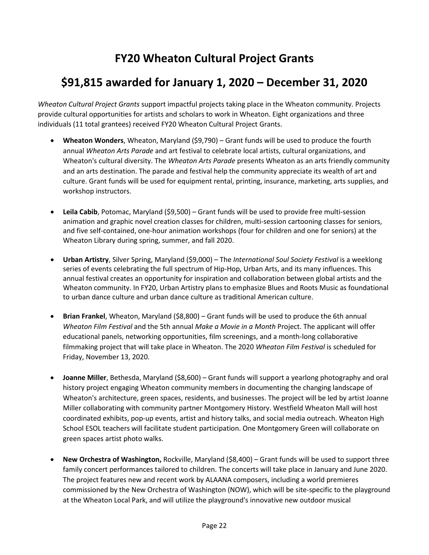## **FY20 Wheaton Cultural Project Grants**

## **\$91,815 awarded for January 1, 2020 – December 31, 2020**

*Wheaton Cultural Project Grants* support impactful projects taking place in the Wheaton community. Projects provide cultural opportunities for artists and scholars to work in Wheaton. Eight organizations and three individuals (11 total grantees) received FY20 Wheaton Cultural Project Grants.

- **Wheaton Wonders**, Wheaton, Maryland (\$9,790) Grant funds will be used to produce the fourth annual *Wheaton Arts Parade* and art festival to celebrate local artists, cultural organizations, and Wheaton's cultural diversity. The *Wheaton Arts Parade* presents Wheaton as an arts friendly community and an arts destination. The parade and festival help the community appreciate its wealth of art and culture. Grant funds will be used for equipment rental, printing, insurance, marketing, arts supplies, and workshop instructors.
- **Leila Cabib**, Potomac, Maryland (\$9,500) Grant funds will be used to provide free multi-session animation and graphic novel creation classes for children, multi-session cartooning classes for seniors, and five self-contained, one-hour animation workshops (four for children and one for seniors) at the Wheaton Library during spring, summer, and fall 2020.
- **Urban Artistry**, Silver Spring, Maryland (\$9,000) The *International Soul Society Festival* is a weeklong series of events celebrating the full spectrum of Hip-Hop, Urban Arts, and its many influences. This annual festival creates an opportunity for inspiration and collaboration between global artists and the Wheaton community. In FY20, Urban Artistry plans to emphasize Blues and Roots Music as foundational to urban dance culture and urban dance culture as traditional American culture.
- **Brian Frankel**, Wheaton, Maryland (\$8,800) Grant funds will be used to produce the 6th annual *Wheaton Film Festival* and the 5th annual *Make a Movie in a Month* Project. The applicant will offer educational panels, networking opportunities, film screenings, and a month-long collaborative filmmaking project that will take place in Wheaton. The 2020 *Wheaton Film Festival* is scheduled for Friday, November 13, 2020.
- **Joanne Miller**, Bethesda, Maryland (\$8,600) Grant funds will support a yearlong photography and oral history project engaging Wheaton community members in documenting the changing landscape of Wheaton's architecture, green spaces, residents, and businesses. The project will be led by artist Joanne Miller collaborating with community partner Montgomery History. Westfield Wheaton Mall will host coordinated exhibits, pop-up events, artist and history talks, and social media outreach. Wheaton High School ESOL teachers will facilitate student participation. One Montgomery Green will collaborate on green spaces artist photo walks.
- **New Orchestra of Washington,** Rockville, Maryland (\$8,400) Grant funds will be used to support three family concert performances tailored to children. The concerts will take place in January and June 2020. The project features new and recent work by ALAANA composers, including a world premieres commissioned by the New Orchestra of Washington (NOW), which will be site-specific to the playground at the Wheaton Local Park, and will utilize the playground's innovative new outdoor musical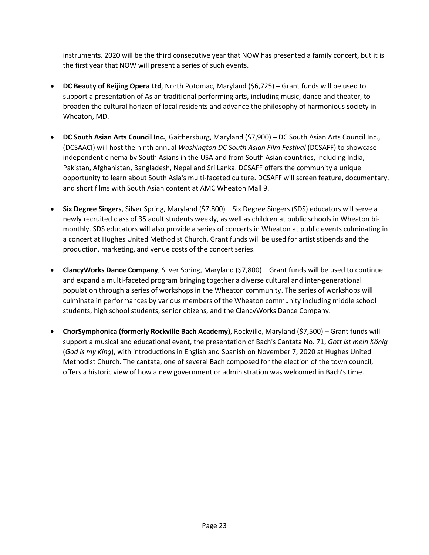instruments. 2020 will be the third consecutive year that NOW has presented a family concert, but it is the first year that NOW will present a series of such events.

- **DC Beauty of Beijing Opera Ltd**, North Potomac, Maryland (\$6,725) Grant funds will be used to support a presentation of Asian traditional performing arts, including music, dance and theater, to broaden the cultural horizon of local residents and advance the philosophy of harmonious society in Wheaton, MD.
- **DC South Asian Arts Council Inc.**, Gaithersburg, Maryland (\$7,900) DC South Asian Arts Council Inc., (DCSAACI) will host the ninth annual *Washington DC South Asian Film Festival* (DCSAFF) to showcase independent cinema by South Asians in the USA and from South Asian countries, including India, Pakistan, Afghanistan, Bangladesh, Nepal and Sri Lanka. DCSAFF offers the community a unique opportunity to learn about South Asia's multi-faceted culture. DCSAFF will screen feature, documentary, and short films with South Asian content at AMC Wheaton Mall 9.
- **Six Degree Singers**, Silver Spring, Maryland (\$7,800) Six Degree Singers (SDS) educators will serve a newly recruited class of 35 adult students weekly, as well as children at public schools in Wheaton bimonthly. SDS educators will also provide a series of concerts in Wheaton at public events culminating in a concert at Hughes United Methodist Church. Grant funds will be used for artist stipends and the production, marketing, and venue costs of the concert series.
- **ClancyWorks Dance Company**, Silver Spring, Maryland (\$7,800) Grant funds will be used to continue and expand a multi-faceted program bringing together a diverse cultural and inter-generational population through a series of workshops in the Wheaton community. The series of workshops will culminate in performances by various members of the Wheaton community including middle school students, high school students, senior citizens, and the ClancyWorks Dance Company.
- **ChorSymphonica (formerly Rockville Bach Academy)**, Rockville, Maryland (\$7,500) Grant funds will support a musical and educational event, the presentation of Bach's Cantata No. 71, *Gott ist mein König* (*God is my King*), with introductions in English and Spanish on November 7, 2020 at Hughes United Methodist Church. The cantata, one of several Bach composed for the election of the town council, offers a historic view of how a new government or administration was welcomed in Bach's time.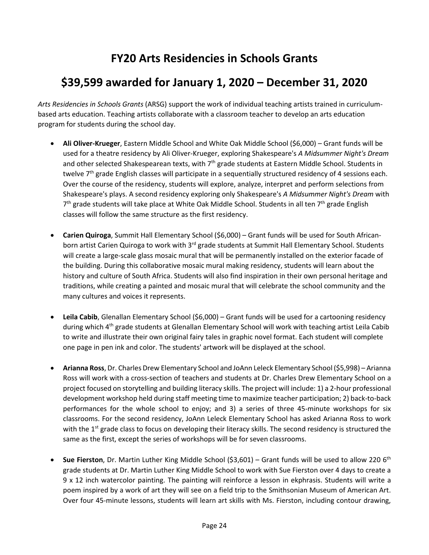## **FY20 Arts Residencies in Schools Grants**

## **\$39,599 awarded for January 1, 2020 – December 31, 2020**

*Arts Residencies in Schools Grants* (ARSG) support the work of individual teaching artists trained in curriculumbased arts education. Teaching artists collaborate with a classroom teacher to develop an arts education program for students during the school day.

- **Ali Oliver-Krueger**, Eastern Middle School and White Oak Middle School (\$6,000) Grant funds will be used for a theatre residency by Ali Oliver-Krueger, exploring Shakespeare's *A Midsummer Night's Dream* and other selected Shakespearean texts, with 7<sup>th</sup> grade students at Eastern Middle School. Students in twelve  $7<sup>th</sup>$  grade English classes will participate in a sequentially structured residency of 4 sessions each. Over the course of the residency, students will explore, analyze, interpret and perform selections from Shakespeare's plays. A second residency exploring only Shakespeare's *A Midsummer Night's Dream* with  $7<sup>th</sup>$  grade students will take place at White Oak Middle School. Students in all ten  $7<sup>th</sup>$  grade English classes will follow the same structure as the first residency.
- **Carien Quiroga**, Summit Hall Elementary School (\$6,000) Grant funds will be used for South Africanborn artist Carien Quiroga to work with  $3<sup>rd</sup>$  grade students at Summit Hall Elementary School. Students will create a large-scale glass mosaic mural that will be permanently installed on the exterior facade of the building. During this collaborative mosaic mural making residency, students will learn about the history and culture of South Africa. Students will also find inspiration in their own personal heritage and traditions, while creating a painted and mosaic mural that will celebrate the school community and the many cultures and voices it represents.
- **Leila Cabib**, Glenallan Elementary School (\$6,000) Grant funds will be used for a cartooning residency during which 4<sup>th</sup> grade students at Glenallan Elementary School will work with teaching artist Leila Cabib to write and illustrate their own original fairy tales in graphic novel format. Each student will complete one page in pen ink and color. The students' artwork will be displayed at the school.
- **Arianna Ross**, Dr. Charles Drew Elementary School and JoAnn Leleck Elementary School (\$5,998) Arianna Ross will work with a cross-section of teachers and students at Dr. Charles Drew Elementary School on a project focused on storytelling and building literacy skills. The project will include: 1) a 2-hour professional development workshop held during staff meeting time to maximize teacher participation; 2) back-to-back performances for the whole school to enjoy; and 3) a series of three 45-minute workshops for six classrooms. For the second residency, JoAnn Leleck Elementary School has asked Arianna Ross to work with the  $1<sup>st</sup>$  grade class to focus on developing their literacy skills. The second residency is structured the same as the first, except the series of workshops will be for seven classrooms.
- **Sue Fierston**, Dr. Martin Luther King Middle School (\$3,601) Grant funds will be used to allow 220 6<sup>th</sup> grade students at Dr. Martin Luther King Middle School to work with Sue Fierston over 4 days to create a 9 x 12 inch watercolor painting. The painting will reinforce a lesson in ekphrasis. Students will write a poem inspired by a work of art they will see on a field trip to the Smithsonian Museum of American Art. Over four 45-minute lessons, students will learn art skills with Ms. Fierston, including contour drawing,